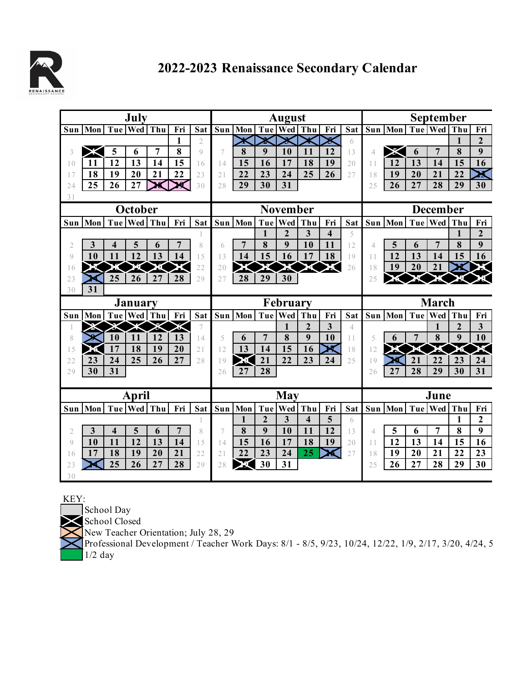

## **2022-2023 Renaissance Secondary Calendar**

| July           |     |    |                 |                |                |                |                 | <b>August</b> |                |                |                         |                         |                |                 | <b>September</b>      |     |                |                |                         |
|----------------|-----|----|-----------------|----------------|----------------|----------------|-----------------|---------------|----------------|----------------|-------------------------|-------------------------|----------------|-----------------|-----------------------|-----|----------------|----------------|-------------------------|
| Sun            | Mon |    | Tue Wed         | Thu            | Fri            | Sat            | Sun             | Mon           |                | Tue Wed        | Thu                     | Fri                     | Sat            |                 | Sun   Mon   Tue   Wed |     |                | Thu            | Fri                     |
|                |     |    |                 |                | 1              | $\overline{2}$ |                 |               |                |                |                         | Χ                       | 6              |                 |                       |     |                | 1              | $\overline{2}$          |
| 3              |     | 5  | 6               | $\overline{7}$ | 8              | $\mathcal{Q}$  | $\overline{7}$  | 8             | 9              | 10             | 11                      | 12                      | 13             | 4               |                       | 6   | $\overline{7}$ | 8              | 9                       |
| 1 <sub>0</sub> | 11  | 12 | 13              | 14             | 15             | 16             | 14              | 15            | 16             | 17             | 18                      | 19                      | 20             | 11              | 12                    | 13  | 14             | 15             | 16                      |
| 17             | 18  | 19 | 20              | 21             | 22             | 23             | 21              | 22            | 23             | 24             | 25                      | 26                      | 27             | 18              | 19                    | 20  | 21             | 22             | $\overline{\mathbf{x}}$ |
| 2.4            | 25  | 26 | 27              |                |                | 30             | 28              | 29            | 30             | 31             |                         |                         |                | 2.5             | 26                    | 27  | 28             | 29             | 30                      |
| 31             |     |    |                 |                |                |                |                 |               |                |                |                         |                         |                |                 |                       |     |                |                |                         |
| October        |     |    |                 |                |                |                | <b>November</b> |               |                |                |                         |                         |                | <b>December</b> |                       |     |                |                |                         |
| Sun            | Mon |    | Tue   Wed       | Thu            | Fri            | Sat            | Sun             | Mon           | Tue            | Wed            | Thu                     | Fri                     | Sat            | Sun             | Mon                   |     | Tue   Wed      | Thu            | Fri                     |
|                |     |    |                 |                |                |                |                 |               | 1              | $\overline{2}$ | $\overline{\mathbf{3}}$ | $\overline{\mathbf{4}}$ | 5              |                 |                       |     |                | 1              | $\overline{2}$          |
| $\mathfrak{2}$ | 3   | 4  | 5               | 6              |                | 8              | 6               |               | 8              | 9              | 10                      | 11                      | 12             | 4               | 5                     | 6   | 7              | 8              | 9                       |
| $\mathcal{Q}$  | 10  | 11 | 12              | 13             | 14             | 15             | 13              | 14            | 15             | 16             | 17                      | 18                      | 19             | 11              | 12                    | 13  | 14             | 15             | 16                      |
| 16             |     |    |                 |                |                | 22             | 20              |               |                |                |                         |                         | 26             | 18              | 19                    | 20  | 21             |                |                         |
| 23             |     | 25 | 26              | 27             | 28             | 29             | 27              | 28            | 29             | 30             |                         |                         |                | 25              |                       |     |                |                |                         |
| 30             | 31  |    |                 |                |                |                |                 |               |                |                |                         |                         |                |                 |                       |     |                |                |                         |
| January        |     |    |                 |                |                |                | February        |               |                |                |                         |                         |                | <b>March</b>    |                       |     |                |                |                         |
|                |     |    |                 |                |                |                |                 |               |                |                |                         |                         |                |                 |                       |     |                |                |                         |
| Sun            | Mon |    | Tue   Wed   Thu |                | Fri            | <b>Sat</b>     | Sun             | Mon           | Tue            | Wed            | Thu                     | Fri                     | Sat            | Sun             | Mon                   | Tue | Wed            | Thu            | Fri                     |
|                |     |    |                 |                | к              |                |                 |               |                | 1              | $\overline{2}$          | $\overline{\mathbf{3}}$ | $\overline{4}$ |                 |                       |     | 1              | $\overline{2}$ | 3                       |
| 8              |     | 10 | 11              | 12             | 13             | 14             | 5               | 6             | $\overline{7}$ | 8              | 9                       | 10                      | 11             | 5               | 6                     | 7   | 8              | 9              | 10                      |
| 15             | ж   | 17 | 18              | 19             | 20             | 21             | 12              | 13            | 14             | 15             | 16                      | ×                       | 18             | 12              |                       |     |                |                |                         |
| 22             | 23  | 24 | 25              | 26             | 27             | 28             | 19              | Ж             | 21             | 22             | 23                      | 24                      | 25             | 19              | 26                    | 21  | 22             | 23             | 24                      |
| 29             | 30  | 31 |                 |                |                |                | 26              | 27            | 28             |                |                         |                         |                | 26              | 27                    | 28  | 29             | 30             | 31                      |
|                |     |    |                 |                |                |                |                 |               |                |                |                         |                         |                |                 |                       |     |                |                |                         |
|                |     |    | April           |                |                |                |                 |               |                | <b>May</b>     |                         |                         |                |                 |                       |     | June           |                |                         |
| Sun            | Mon |    | Tue   Wed       | Thu            | Fri            | <b>Sat</b>     | Sun             | Mon           | Tue            | Wed            | Thu                     | Fri                     | Sat            | Sun             | Mon                   |     | Tue   Wed      | Thu            | Fri                     |
|                |     |    |                 |                |                | 1              |                 | 1             | $\overline{2}$ | 3              | 4                       | 5                       | 6              |                 |                       |     |                | 1              | $\mathbf{2}$            |
| 2              | 3   | 4  | 5               | 6              | $\overline{7}$ | 8              | 7               | 8             | 9              | 10             | 11                      | 12                      | 13             | 4               | 5                     | 6   | $\overline{7}$ | 8              | 9                       |
| Q              | 10  | 11 | 12              | 13             | 14             | 15             | 14              | 15            | 16             | 17             | 18                      | 19                      | 20             | 11              | 12                    | 13  | 14             | 15             | 16                      |
| 16             | 17  | 18 | 19              | 20             | 21             | 22             | 21              | 22            | 23             | 24             | 25                      |                         | 27             | 18              | 19                    | 20  | 21             | 22             | 23                      |
| 23             |     | 25 | 26              | 27             | 28             | 29             | 28              |               | 30             | 31             |                         |                         |                | 25              | 26                    | 27  | 28             | 29             | 30                      |

KEY:

School Day

School Closed

New Teacher Orientation; July 28, 29

Professional Development / Teacher Work Days: 8/1 - 8/5, 9/23, 10/24, 12/22, 1/9, 2/17, 3/20, 4/24, 5 1/2 day